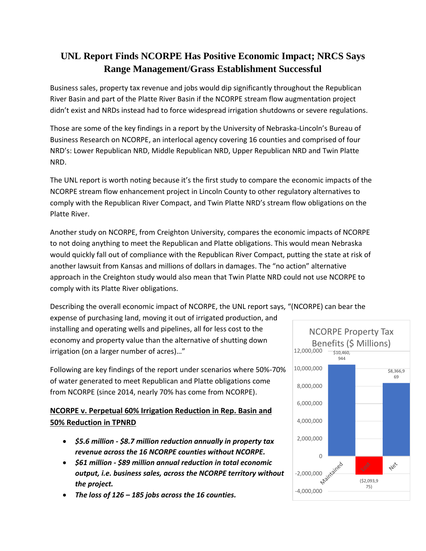# **UNL Report Finds NCORPE Has Positive Economic Impact; NRCS Says Range Management/Grass Establishment Successful**

Business sales, property tax revenue and jobs would dip significantly throughout the Republican River Basin and part of the Platte River Basin if the NCORPE stream flow augmentation project didn't exist and NRDs instead had to force widespread irrigation shutdowns or severe regulations.

Those are some of the key findings in a report by the University of Nebraska-Lincoln's Bureau of Business Research on NCORPE, an interlocal agency covering 16 counties and comprised of four NRD's: Lower Republican NRD, Middle Republican NRD, Upper Republican NRD and Twin Platte NRD.

The UNL report is worth noting because it's the first study to compare the economic impacts of the NCORPE stream flow enhancement project in Lincoln County to other regulatory alternatives to comply with the Republican River Compact, and Twin Platte NRD's stream flow obligations on the Platte River.

Another study on NCORPE, from Creighton University, compares the economic impacts of NCORPE to not doing anything to meet the Republican and Platte obligations. This would mean Nebraska would quickly fall out of compliance with the Republican River Compact, putting the state at risk of another lawsuit from Kansas and millions of dollars in damages. The "no action" alternative approach in the Creighton study would also mean that Twin Platte NRD could not use NCORPE to comply with its Platte River obligations.

Describing the overall economic impact of NCORPE, the UNL report says, "(NCORPE) can bear the expense of purchasing land, moving it out of irrigated production, and

installing and operating wells and pipelines, all for less cost to the economy and property value than the alternative of shutting down irrigation (on a larger number of acres)…"

Following are key findings of the report under scenarios where 50%-70% of water generated to meet Republican and Platte obligations come from NCORPE (since 2014, nearly 70% has come from NCORPE).

## **NCORPE v. Perpetual 60% Irrigation Reduction in Rep. Basin and 50% Reduction in TPNRD**

- *\$5.6 million - \$8.7 million reduction annually in property tax revenue across the 16 NCORPE counties without NCORPE.*
- *\$61 million - \$89 million annual reduction in total economic output, i.e. business sales, across the NCORPE territory without the project.*
- *The loss of 126 – 185 jobs across the 16 counties.*

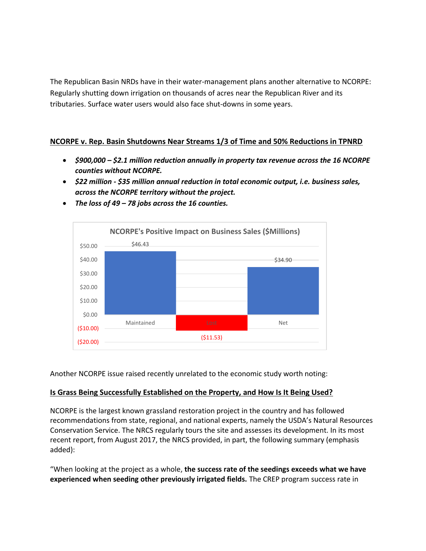The Republican Basin NRDs have in their water-management plans another alternative to NCORPE: Regularly shutting down irrigation on thousands of acres near the Republican River and its tributaries. Surface water users would also face shut-downs in some years.

#### **NCORPE v. Rep. Basin Shutdowns Near Streams 1/3 of Time and 50% Reductions in TPNRD**

- *\$900,000 – \$2.1 million reduction annually in property tax revenue across the 16 NCORPE counties without NCORPE.*
- *\$22 million - \$35 million annual reduction in total economic output, i.e. business sales, across the NCORPE territory without the project.*



• *The loss of 49 – 78 jobs across the 16 counties.*

Another NCORPE issue raised recently unrelated to the economic study worth noting:

### **Is Grass Being Successfully Established on the Property, and How Is It Being Used?**

NCORPE is the largest known grassland restoration project in the country and has followed recommendations from state, regional, and national experts, namely the USDA's Natural Resources Conservation Service. The NRCS regularly tours the site and assesses its development. In its most recent report, from August 2017, the NRCS provided, in part, the following summary (emphasis added):

"When looking at the project as a whole, **the success rate of the seedings exceeds what we have experienced when seeding other previously irrigated fields.** The CREP program success rate in